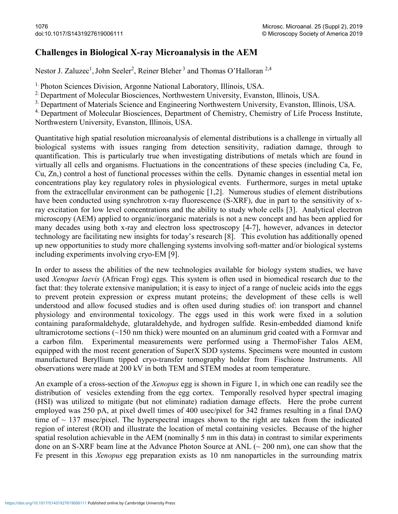## Challenges in Biological X-ray Microanalysis in the AEM

Nestor J. Zaluzec<sup>1</sup>, John Seeler<sup>2</sup>, Reiner Bleher<sup>3</sup> and Thomas O'Halloran<sup>2,4</sup>

1. Photon Sciences Division, Argonne National Laboratory, Illinois, USA.

<sup>2.</sup> Department of Molecular Biosciences, Northwestern University, Evanston, Illinois, USA.

<sup>3.</sup> Department of Materials Science and Engineering Northwestern University, Evanston, Illinois, USA.

<sup>4.</sup> Department of Molecular Biosciences, Department of Chemistry, Chemistry of Life Process Institute, Northwestern University, Evanston, Illinois, USA.

Quantitative high spatial resolution microanalysis of elemental distributions is a challenge in virtually all biological systems with issues ranging from detection sensitivity, radiation damage, through to quantification. This is particularly true when investigating distributions of metals which are found in virtually all cells and organisms. Fluctuations in the concentrations of these species (including Ca, Fe, Cu, Zn,) control a host of functional processes within the cells. Dynamic changes in essential metal ion concentrations play key regulatory roles in physiological events. Furthermore, surges in metal uptake from the extracellular environment can be pathogenic [1,2]. Numerous studies of element distributions have been conducted using synchrotron x-ray fluorescence (S-XRF), due in part to the sensitivity of xray excitation for low level concentrations and the ability to study whole cells [3]. Analytical electron microscopy (AEM) applied to organic/inorganic materials is not a new concept and has been applied for many decades using both x-ray and electron loss spectroscopy [4-7], however, advances in detector technology are facilitating new insights for today's research [8]. This evolution has additionally opened up new opportunities to study more challenging systems involving soft-matter and/or biological systems including experiments involving cryo-EM [9].

In order to assess the abilities of the new technologies available for biology system studies, we have used Xenopus laevis (African Frog) eggs. This system is often used in biomedical research due to the fact that: they tolerate extensive manipulation; it is easy to inject of a range of nucleic acids into the eggs to prevent protein expression or express mutant proteins; the development of these cells is well understood and allow focused studies and is often used during studies of: ion transport and channel physiology and environmental toxicology. The eggs used in this work were fixed in a solution containing paraformaldehyde, glutaraldehyde, and hydrogen sulfide. Resin-embedded diamond knife ultramicrotome sections  $(\sim] 150$  nm thick) were mounted on an aluminum grid coated with a Formvar and a carbon film. Experimental measurements were performed using a ThermoFisher Talos AEM, equipped with the most recent generation of SuperX SDD systems. Specimens were mounted in custom manufactured Beryllium tipped cryo-transfer tomography holder from Fischione Instruments. All observations were made at 200 kV in both TEM and STEM modes at room temperature.

An example of a cross-section of the *Xenopus* egg is shown in Figure 1, in which one can readily see the distribution of vesicles extending from the egg cortex. Temporally resolved hyper spectral imaging (HSI) was utilized to mitigate (but not eliminate) radiation damage effects. Here the probe current employed was 250 pA, at pixel dwell times of 400 usec/pixel for 342 frames resulting in a final DAQ time of  $\sim$  137 msec/pixel. The hyperspectral images shown to the right are taken from the indicated region of interest (ROI) and illustrate the location of metal containing vesicles. Because of the higher spatial resolution achievable in the AEM (nominally 5 nm in this data) in contrast to similar experiments done on an S-XRF beam line at the Advance Photon Source at ANL (~ 200 nm), one can show that the Fe present in this Xenopus egg preparation exists as 10 nm nanoparticles in the surrounding matrix